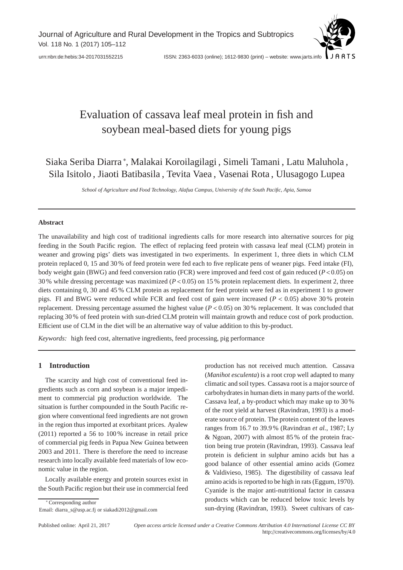

# Evaluation of cassava leaf meal protein in fish and soybean meal-based diets for young pigs

Siaka Seriba Diarra <sup>∗</sup> , Malakai Koroilagilagi , Simeli Tamani , Latu Maluhola , Sila Isitolo , Jiaoti Batibasila , Tevita Vaea , Vasenai Rota , Ulusagogo Lupea

*School of Agriculture and Food Technology, Alafua Campus, University of the South Pacific, Apia, Samoa*

# **Abstract**

The unavailability and high cost of traditional ingredients calls for more research into alternative sources for pig feeding in the South Pacific region. The effect of replacing feed protein with cassava leaf meal (CLM) protein in weaner and growing pigs' diets was investigated in two experiments. In experiment 1, three diets in which CLM protein replaced 0, 15 and 30 % of feed protein were fed each to five replicate pens of weaner pigs. Feed intake (FI), body weight gain (BWG) and feed conversion ratio (FCR) were improved and feed cost of gain reduced (*P*<0.05) on 30 % while dressing percentage was maximized (*P*<0.05) on 15 % protein replacement diets. In experiment 2, three diets containing 0, 30 and 45 % CLM protein as replacement for feed protein were fed as in experiment 1 to grower pigs. FI and BWG were reduced while FCR and feed cost of gain were increased (*P* < 0.05) above 30 % protein replacement. Dressing percentage assumed the highest value (*P* < 0.05) on 30 % replacement. It was concluded that replacing 30 % of feed protein with sun-dried CLM protein will maintain growth and reduce cost of pork production. Efficient use of CLM in the diet will be an alternative way of value addition to this by-product.

*Keywords:* high feed cost, alternative ingredients, feed processing, pig performance

# **1 Introduction**

The scarcity and high cost of conventional feed ingredients such as corn and soybean is a major impediment to commercial pig production worldwide. The situation is further compounded in the South Pacific region where conventional feed ingredients are not grown in the region thus imported at exorbitant prices. Ayalew (2011) reported a 56 to 100 % increase in retail price of commercial pig feeds in Papua New Guinea between 2003 and 2011. There is therefore the need to increase research into locally available feed materials of low economic value in the region.

Locally available energy and protein sources exist in the South Pacific region but their use in commercial feed

∗ Corresponding author

Email: diarra\_s@usp.ac.fj or siakadi2012@gmail.com

production has not received much attention. Cassava (*Manihot esculenta*) is a root crop well adapted to many climatic and soil types. Cassava root is a major source of carbohydrates in human diets in many parts of the world. Cassava leaf, a by-product which may make up to 30 % of the root yield at harvest (Ravindran, 1993) is a moderate source of protein. The protein content of the leaves ranges from 16.7 to 39.9 % (Ravindran *et al.*, 1987; Ly & Ngoan, 2007) with almost 85 % of the protein fraction being true protein (Ravindran, 1993). Cassava leaf protein is deficient in sulphur amino acids but has a good balance of other essential amino acids (Gomez & Valdivieso, 1985). The digestibility of cassava leaf amino acids is reported to be high in rats (Eggum, 1970). Cyanide is the major anti-nutritional factor in cassava products which can be reduced below toxic levels by sun-drying (Ravindran, 1993). Sweet cultivars of cas-

Published online: April 21, 2017 *Open access article licensed under a Creative Commons Attribution 4.0 International License CC BY* http://creativecommons.org/licenses/by/4.0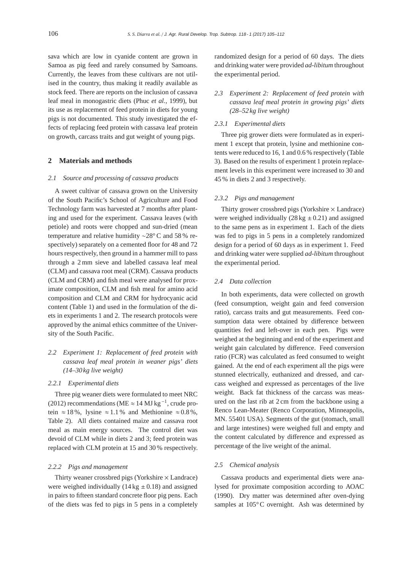sava which are low in cyanide content are grown in Samoa as pig feed and rarely consumed by Samoans. Currently, the leaves from these cultivars are not utilised in the country, thus making it readily available as stock feed. There are reports on the inclusion of cassava leaf meal in monogastric diets (Phuc *et al.*, 1999), but its use as replacement of feed protein in diets for young pigs is not documented. This study investigated the effects of replacing feed protein with cassava leaf protein on growth, carcass traits and gut weight of young pigs.

## **2 Materials and methods**

#### *2.1 Source and processing of cassava products*

A sweet cultivar of cassava grown on the University of the South Pacific's School of Agriculture and Food Technology farm was harvested at 7 months after planting and used for the experiment. Cassava leaves (with petiole) and roots were chopped and sun-dried (mean temperature and relative humidity ∼28° C and 58 % respectively) separately on a cemented floor for 48 and 72 hours respectively, then ground in a hammer mill to pass through a 2 mm sieve and labelled cassava leaf meal (CLM) and cassava root meal (CRM). Cassava products (CLM and CRM) and fish meal were analysed for proximate composition, CLM and fish meal for amino acid composition and CLM and CRM for hydrocyanic acid content (Table 1) and used in the formulation of the diets in experiments 1 and 2. The research protocols were approved by the animal ethics committee of the University of the South Pacific.

*2.2 Experiment 1: Replacement of feed protein with cassava leaf meal protein in weaner pigs' diets (14–30 kg live weight)*

# *2.2.1 Experimental diets*

Three pig weaner diets were formulated to meet NRC (2012) recommendations (ME  $\approx$  14 MJ kg<sup>-1</sup>, crude protein  $\approx 18\%$ , lysine  $\approx 1.1\%$  and Methionine  $\approx 0.8\%$ . Table 2). All diets contained maize and cassava root meal as main energy sources. The control diet was devoid of CLM while in diets 2 and 3; feed protein was replaced with CLM protein at 15 and 30 % respectively.

#### *2.2.2 Pigs and management*

Thirty weaner crossbred pigs (Yorkshire  $\times$  Landrace) were weighed individually  $(14 \text{ kg } \pm 0.18)$  and assigned in pairs to fifteen standard concrete floor pig pens. Each of the diets was fed to pigs in 5 pens in a completely randomized design for a period of 60 days. The diets and drinking water were provided *ad-libitum* throughout the experimental period.

# *2.3 Experiment 2: Replacement of feed protein with cassava leaf meal protein in growing pigs' diets (28–52 kg live weight)*

### *2.3.1 Experimental diets*

Three pig grower diets were formulated as in experiment 1 except that protein, lysine and methionine contents were reduced to 16, 1 and 0.6 % respectively (Table 3). Based on the results of experiment 1 protein replacement levels in this experiment were increased to 30 and 45 % in diets 2 and 3 respectively.

#### *2.3.2 Pigs and management*

Thirty grower crossbred pigs (Yorkshire  $\times$  Landrace) were weighed individually  $(28 \text{ kg } \pm 0.21)$  and assigned to the same pens as in experiment 1. Each of the diets was fed to pigs in 5 pens in a completely randomized design for a period of 60 days as in experiment 1. Feed and drinking water were supplied *ad-libitum* throughout the experimental period.

#### *2.4 Data collection*

In both experiments, data were collected on growth (feed consumption, weight gain and feed conversion ratio), carcass traits and gut measurements. Feed consumption data were obtained by difference between quantities fed and left-over in each pen. Pigs were weighed at the beginning and end of the experiment and weight gain calculated by difference. Feed conversion ratio (FCR) was calculated as feed consumed to weight gained. At the end of each experiment all the pigs were stunned electrically, euthanized and dressed, and carcass weighed and expressed as percentages of the live weight. Back fat thickness of the carcass was measured on the last rib at 2 cm from the backbone using a Renco Lean-Meater (Renco Corporation, Minneapolis, MN. 55401 USA). Segments of the gut (stomach, small and large intestines) were weighed full and empty and the content calculated by difference and expressed as percentage of the live weight of the animal.

#### *2.5 Chemical analysis*

Cassava products and experimental diets were analysed for proximate composition according to AOAC (1990). Dry matter was determined after oven-dying samples at 105°C overnight. Ash was determined by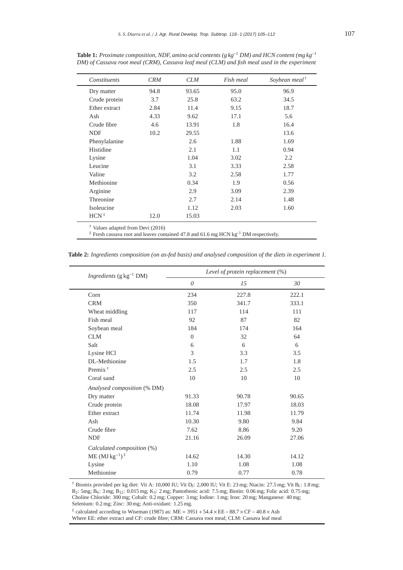| Constituents     | <b>CRM</b> | <b>CLM</b> | Fish meal | Soybean meal <sup><math>\dagger</math></sup> |
|------------------|------------|------------|-----------|----------------------------------------------|
| Dry matter       | 94.8       | 93.65      | 95.0      | 96.9                                         |
| Crude protein    | 3.7        | 25.8       | 63.2      | 34.5                                         |
| Ether extract    | 2.84       | 11.4       | 9.15      | 18.7                                         |
| Ash              | 4.33       | 9.62       | 17.1      | 5.6                                          |
| Crude fibre      | 4.6        | 13.91      | 1.8       | 16.4                                         |
| <b>NDF</b>       | 10.2       | 29.55      |           | 13.6                                         |
| Phenylalanine    |            | 2.6        | 1.88      | 1.69                                         |
| Histidine        |            | 2.1        | 1.1       | 0.94                                         |
| Lysine           |            | 1.04       | 3.02      | 2.2                                          |
| Leucine          |            | 3.1        | 3.33      | 2.58                                         |
| Valine           |            | 3.2        | 2.58      | 1.77                                         |
| Methionine       |            | 0.34       | 1.9       | 0.56                                         |
| Arginine         |            | 2.9        | 3.09      | 2.39                                         |
| Threonine        |            | 2.7        | 2.14      | 1.48                                         |
| Isoleucine       |            | 1.12       | 2.03      | 1.60                                         |
| $HCN^{\ddagger}$ | 12.0       | 15.03      |           |                                              |
|                  |            |            |           |                                              |

**Table 1:** *Proximate composition, NDF, amino acid contents (g kg*−<sup>1</sup> *DM) and HCN content (mg kg*−<sup>1</sup> *DM) of Cassava root meal (CRM), Cassava leaf meal (CLM) and fish meal used in the experiment*

† Values adapted from Devi (2016)

‡ Fresh cassava root and leaves contained 47.8 and 61.6 mg HCN kg−<sup>1</sup> DM respectively.

| <i>Ingredients</i> ( $g kg^{-1} DM$ ) | Level of protein replacement $(\%)$ |       |       |  |  |  |
|---------------------------------------|-------------------------------------|-------|-------|--|--|--|
|                                       | $\theta$                            | 15    | 30    |  |  |  |
| Corn                                  | 234                                 | 227.8 | 222.1 |  |  |  |
| <b>CRM</b>                            | 350                                 | 341.7 | 333.1 |  |  |  |
| Wheat middling                        | 117                                 | 114   | 111   |  |  |  |
| Fish meal                             | 92                                  | 87    | 82    |  |  |  |
| Soybean meal                          | 184                                 | 174   | 164   |  |  |  |
| <b>CLM</b>                            | $\Omega$                            | 32    | 64    |  |  |  |
| Salt                                  | 6                                   | 6     | 6     |  |  |  |
| Lysine HCl                            | 3                                   | 3.3   | 3.5   |  |  |  |
| DL-Methionine                         | 1.5                                 | 1.7   | 1.8   |  |  |  |
| Premix $†$                            | 2.5                                 | 2.5   | 2.5   |  |  |  |
| Coral sand                            | 10                                  | 10    | 10    |  |  |  |
| Analysed composition (% DM)           |                                     |       |       |  |  |  |
| Dry matter                            | 91.33                               | 90.78 | 90.65 |  |  |  |
| Crude protein                         | 18.08                               | 17.97 | 18.03 |  |  |  |
| Ether extract                         | 11.74                               | 11.98 | 11.79 |  |  |  |
| Ash                                   | 10.30                               | 9.80  | 9.84  |  |  |  |
| Crude fibre                           | 7.62                                | 8.86  | 9.20  |  |  |  |
| <b>NDF</b>                            | 21.16                               | 26.09 | 27.06 |  |  |  |
| Calculated composition (%)            |                                     |       |       |  |  |  |
| $ME (MJ kg^{-1})$ <sup>:</sup>        | 14.62                               | 14.30 | 14.12 |  |  |  |
| Lysine                                | 1.10                                | 1.08  | 1.08  |  |  |  |
| Methionine                            | 0.79                                | 0.77  | 0.78  |  |  |  |
|                                       |                                     |       |       |  |  |  |

**Table 2:** *Ingredients composition (on as-fed basis) and analysed composition of the diets in experiment 1.*

 $\dagger$  Biomix provided per kg diet: Vit A: 10,000 IU; Vit D<sub>3</sub>: 2,000 IU; Vit E: 23 mg; Niacin: 27.5 mg; Vit B<sub>1</sub>: 1.8 mg; B2: 5mg; B6: 3 mg; B12: 0.015 mg; K3: 2 mg; Pantothenic acid: 7.5 mg; Biotin: 0.06 mg; Folic acid: 0.75 mg; Choline Chloride: 300 mg; Cobalt: 0.2 mg; Copper: 3 mg; Iodine: 1 mg; Iron: 20 mg; Manganese: 40 mg; Selenium: 0.2 mg; Zinc: 30 mg; Anti-oxidant: 1.25 mg.

‡ calculated according to Wiseman (1987) as: ME <sup>=</sup> <sup>3951</sup> <sup>+</sup> 54.4 <sup>×</sup> EE<sup>−</sup> 88.7 <sup>×</sup>CF <sup>−</sup> 40.8 <sup>×</sup> Ash Where EE: ether extract and CF: crude fibre; CRM: Cassava root meal; CLM: Cassava leaf meal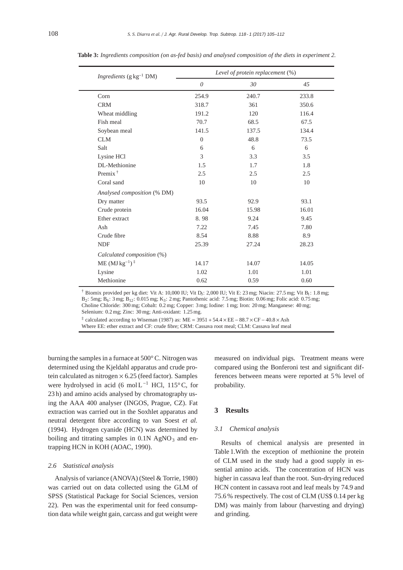| <i>Ingredients</i> ( $g kg^{-1} DM$ ) | Level of protein replacement (%) |       |       |  |  |  |
|---------------------------------------|----------------------------------|-------|-------|--|--|--|
|                                       | $\theta$                         | 30    | 45    |  |  |  |
| Corn                                  | 254.9                            | 240.7 | 233.8 |  |  |  |
| <b>CRM</b>                            | 318.7                            | 361   | 350.6 |  |  |  |
| Wheat middling                        | 191.2                            | 120   | 116.4 |  |  |  |
| Fish meal                             | 70.7                             | 68.5  | 67.5  |  |  |  |
| Soybean meal                          | 141.5                            | 137.5 | 134.4 |  |  |  |
| <b>CLM</b>                            | $\Omega$                         | 48.8  | 73.5  |  |  |  |
| Salt                                  | 6                                | 6     | 6     |  |  |  |
| Lysine HCl                            | 3                                | 3.3   | 3.5   |  |  |  |
| DL-Methionine                         | 1.5                              | 1.7   | 1.8   |  |  |  |
| Premix $\dagger$                      | 2.5                              | 2.5   | 2.5   |  |  |  |
| Coral sand                            | 10                               | 10    | 10    |  |  |  |
| Analysed composition (% DM)           |                                  |       |       |  |  |  |
| Dry matter                            | 93.5                             | 92.9  | 93.1  |  |  |  |
| Crude protein                         | 16.04                            | 15.98 | 16.01 |  |  |  |
| Ether extract                         | 8.98                             | 9.24  | 9.45  |  |  |  |
| Ash                                   | 7.22                             | 7.45  | 7.80  |  |  |  |
| Crude fibre                           | 8.54                             | 8.88  | 8.9   |  |  |  |
| <b>NDF</b>                            | 25.39                            | 27.24 | 28.23 |  |  |  |
| Calculated composition (%)            |                                  |       |       |  |  |  |
| $ME (MJ kg^{-1})$ <sup>:</sup>        | 14.17                            | 14.07 | 14.05 |  |  |  |
| Lysine                                | 1.02                             | 1.01  | 1.01  |  |  |  |
| Methionine                            | 0.62                             | 0.59  | 0.60  |  |  |  |

**Table 3:** *Ingredients composition (on as-fed basis) and analysed composition of the diets in experiment 2.*

 $\dagger$  Biomix provided per kg diet: Vit A: 10,000 IU; Vit D<sub>3</sub>: 2,000 IU; Vit E: 23 mg; Niacin: 27.5 mg; Vit B<sub>1</sub>: 1.8 mg; B2: 5mg; B6: 3 mg; B12: 0.015 mg; K3: 2 mg; Pantothenic acid: 7.5 mg; Biotin: 0.06 mg; Folic acid: 0.75 mg; Choline Chloride: 300 mg; Cobalt: 0.2 mg; Copper: 3 mg; Iodine: 1 mg; Iron: 20 mg; Manganese: 40 mg; Selenium: 0.2 mg; Zinc: 30 mg; Anti-oxidant: 1.25 mg.

 $\frac{1}{4}$  calculated according to Wiseman (1987) as: ME = 3951 + 54.4 × EE – 88.7 × CF – 40.8 × Ash Where EE: ether extract and CF: crude fibre; CRM: Cassava root meal; CLM: Cassava leaf meal

burning the samples in a furnace at 500° C. Nitrogen was determined using the Kjeldahl apparatus and crude protein calculated as nitrogen  $\times$  6.25 (feed factor). Samples were hydrolysed in acid (6 mol  $L^{-1}$  HCl, 115°C, for 23 h) and amino acids analysed by chromatography using the AAA 400 analyser (INGOS, Prague, CZ). Fat extraction was carried out in the Soxhlet apparatus and neutral detergent fibre according to van Soest *et al.* (1994). Hydrogen cyanide (HCN) was determined by boiling and titrating samples in  $0.1N$  AgNO<sub>3</sub> and entrapping HCN in KOH (AOAC, 1990).

#### *2.6 Statistical analysis*

Analysis of variance (ANOVA) (Steel & Torrie, 1980) was carried out on data collected using the GLM of SPSS (Statistical Package for Social Sciences, version 22). Pen was the experimental unit for feed consumption data while weight gain, carcass and gut weight were

measured on individual pigs. Treatment means were compared using the Bonferoni test and significant differences between means were reported at 5 % level of probability.

# **3 Results**

#### *3.1 Chemical analysis*

Results of chemical analysis are presented in Table 1.With the exception of methionine the protein of CLM used in the study had a good supply in essential amino acids. The concentration of HCN was higher in cassava leaf than the root. Sun-drying reduced HCN content in cassava root and leaf meals by 74.9 and 75.6 % respectively. The cost of CLM (US\$ 0.14 per kg DM) was mainly from labour (harvesting and drying) and grinding.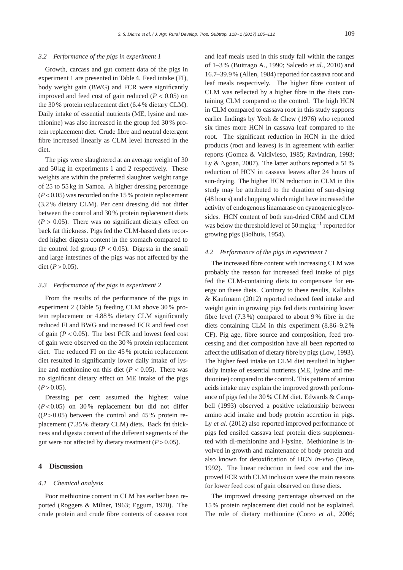#### *3.2 Performance of the pigs in experiment 1*

Growth, carcass and gut content data of the pigs in experiment 1 are presented in Table 4. Feed intake (FI), body weight gain (BWG) and FCR were significantly improved and feed cost of gain reduced ( $P < 0.05$ ) on the 30 % protein replacement diet (6.4 % dietary CLM). Daily intake of essential nutrients (ME, lysine and methionine) was also increased in the group fed 30 % protein replacement diet. Crude fibre and neutral detergent fibre increased linearly as CLM level increased in the diet.

The pigs were slaughtered at an average weight of 30 and 50 kg in experiments 1 and 2 respectively. These weights are within the preferred slaughter weight range of 25 to 55 kg in Samoa. A higher dressing percentage  $(P<0.05)$  was recorded on the 15 % protein replacement (3.2 % dietary CLM). Per cent dressing did not differ between the control and 30 % protein replacement diets  $(P > 0.05)$ . There was no significant dietary effect on back fat thickness. Pigs fed the CLM-based diets recorded higher digesta content in the stomach compared to the control fed group  $(P < 0.05)$ . Digesta in the small and large intestines of the pigs was not affected by the diet ( $P > 0.05$ ).

#### *3.3 Performance of the pigs in experiment 2*

From the results of the performance of the pigs in experiment 2 (Table 5) feeding CLM above 30 % protein replacement or 4.88 % dietary CLM significantly reduced FI and BWG and increased FCR and feed cost of gain  $(P < 0.05)$ . The best FCR and lowest feed cost of gain were observed on the 30 % protein replacement diet. The reduced FI on the 45 % protein replacement diet resulted in significantly lower daily intake of lysine and methionine on this diet  $(P < 0.05)$ . There was no significant dietary effect on ME intake of the pigs  $(P>0.05)$ .

Dressing per cent assumed the highest value  $(P<0.05)$  on 30% replacement but did not differ  $((P>0.05)$  between the control and 45% protein replacement (7.35 % dietary CLM) diets. Back fat thickness and digesta content of the different segments of the gut were not affected by dietary treatment  $(P > 0.05)$ .

# **4 Discussion**

#### *4.1 Chemical analysis*

Poor methionine content in CLM has earlier been reported (Roggers & Milner, 1963; Eggum, 1970). The crude protein and crude fibre contents of cassava root

and leaf meals used in this study fall within the ranges of 1–3 % (Buitrago A., 1990; Salcedo *et al.*, 2010) and 16.7–39.9% (Allen, 1984) reported for cassava root and leaf meals respectively. The higher fibre content of CLM was reflected by a higher fibre in the diets containing CLM compared to the control. The high HCN in CLM compared to cassava root in this study supports earlier findings by Yeoh & Chew (1976) who reported six times more HCN in cassava leaf compared to the root. The significant reduction in HCN in the dried products (root and leaves) is in agreement with earlier reports (Gomez & Valdivieso, 1985; Ravindran, 1993; Ly & Ngoan, 2007). The latter authors reported a 51 % reduction of HCN in cassava leaves after 24 hours of sun-drying. The higher HCN reduction in CLM in this study may be attributed to the duration of sun-drying (48 hours) and chopping which might have increased the activity of endogenous linamarase on cyanogenic glycosides. HCN content of both sun-dried CRM and CLM was below the threshold level of 50 mg kg<sup>-1</sup> reported for growing pigs (Bolhuis, 1954).

#### *4.2 Performance of the pigs in experiment 1*

The increased fibre content with increasing CLM was probably the reason for increased feed intake of pigs fed the CLM-containing diets to compensate for energy on these diets. Contrary to these results, Kallabis & Kaufmann (2012) reported reduced feed intake and weight gain in growing pigs fed diets containing lower fibre level (7.3 %) compared to about 9 % fibre in the diets containing CLM in this experiment (8.86–9.2% CF). Pig age, fibre source and composition, feed processing and diet composition have all been reported to affect the utilisation of dietary fibre by pigs (Low, 1993). The higher feed intake on CLM diet resulted in higher daily intake of essential nutrients (ME, lysine and methionine) compared to the control. This pattern of amino acids intake may explain the improved growth performance of pigs fed the 30 % CLM diet. Edwards & Campbell (1993) observed a positive relationship between amino acid intake and body protein accretion in pigs. Ly *et al.* (2012) also reported improved performance of pigs fed ensiled cassava leaf protein diets supplemented with dl-methionine and l-lysine. Methionine is involved in growth and maintenance of body protein and also known for detoxification of HCN *in-vivo* (Tewe, 1992). The linear reduction in feed cost and the improved FCR with CLM inclusion were the main reasons for lower feed cost of gain observed on these diets.

The improved dressing percentage observed on the 15 % protein replacement diet could not be explained. The role of dietary methionine (Corzo *et al.*, 2006;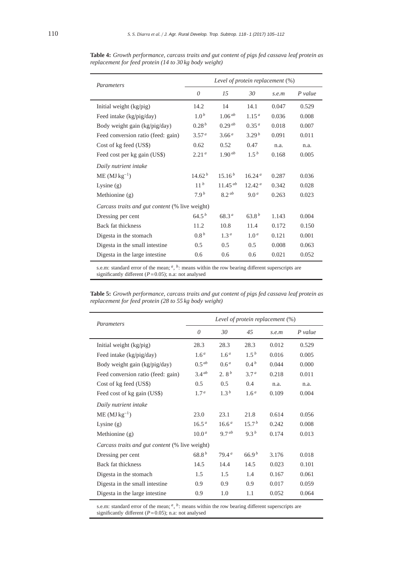| Parameters                                            | Level of protein replacement (%) |                   |                    |       |           |  |  |
|-------------------------------------------------------|----------------------------------|-------------------|--------------------|-------|-----------|--|--|
|                                                       | $\theta$                         | 15                | 30                 | s.e.m | $P$ value |  |  |
| Initial weight (kg/pig)                               | 14.2                             | 14                | 14.1               | 0.047 | 0.529     |  |  |
| Feed intake (kg/pig/day)                              | 1.0 <sup>b</sup>                 | $1.06^{ab}$       | 1.15 <sup>a</sup>  | 0.036 | 0.008     |  |  |
| Body weight gain (kg/pig/day)                         | 0.28 <sup>b</sup>                | $0.29^{ab}$       | 0.35 <sup>a</sup>  | 0.018 | 0.007     |  |  |
| Feed conversion ratio (feed: gain)                    | 3.57 <sup>a</sup>                | 3.66 <sup>a</sup> | 3.29 <sup>b</sup>  | 0.091 | 0.011     |  |  |
| Cost of kg feed (US\$)                                | 0.62                             | 0.52              | 0.47               | n.a.  | n.a.      |  |  |
| Feed cost per kg gain (US\$)                          | 2.21 <sup>a</sup>                | $1.90^{ab}$       | $1.5^{b}$          | 0.168 | 0.005     |  |  |
| Daily nutrient intake                                 |                                  |                   |                    |       |           |  |  |
| $ME (MJ kg^{-1})$                                     | 14.62 <sup>b</sup>               | $15.16^{b}$       | 16.24 <sup>a</sup> | 0.287 | 0.036     |  |  |
| Lysine $(g)$                                          | 11 <sup>b</sup>                  | $11.45^{ab}$      | 12.42 <sup>a</sup> | 0.342 | 0.028     |  |  |
| Methionine (g)                                        | 7.9 <sup>b</sup>                 | $8.2^{ab}$        | 9.0 <sup>a</sup>   | 0.263 | 0.023     |  |  |
| <i>Carcass traits and gut content</i> (% live weight) |                                  |                   |                    |       |           |  |  |
| Dressing per cent                                     | $64.5^{b}$                       | 68.3 <sup>a</sup> | $63.8^{b}$         | 1.143 | 0.004     |  |  |
| Back fat thickness                                    | 11.2                             | 10.8              | 11.4               | 0.172 | 0.150     |  |  |
| Digesta in the stomach                                | 0.8 <sup>b</sup>                 | 1.3 <sup>a</sup>  | 1.0 <sup>a</sup>   | 0.121 | 0.001     |  |  |
| Digesta in the small intestine                        | 0.5                              | 0.5               | 0.5                | 0.008 | 0.063     |  |  |
| Digesta in the large intestine.                       | 0.6                              | 0.6               | 0.6                | 0.021 | 0.052     |  |  |

**Table 4:** *Growth performance, carcass traits and gut content of pigs fed cassava leaf protein as replacement for feed protein (14 to 30 kg body weight)*

s.e.m: standard error of the mean; <sup>*a*</sup>, <sup>*b*</sup>: means within the row bearing different superscripts are significantly different (*P*=0.05); n.a: not analysed

**Table 5:** *Growth performance, carcass traits and gut content of pigs fed cassava leaf protein as replacement for feed protein (28 to 55 kg body weight)*

| Parameters                                            | Level of protein replacement $(\%)$ |                   |                   |       |           |  |
|-------------------------------------------------------|-------------------------------------|-------------------|-------------------|-------|-----------|--|
|                                                       | $\theta$                            | 30                | 45                | s.e.m | $P$ value |  |
| Initial weight (kg/pig)                               | 28.3                                | 28.3              | 28.3              | 0.012 | 0.529     |  |
| Feed intake (kg/pig/day)                              | 1.6 <sup>a</sup>                    | 1.6 <sup>a</sup>  | $1.5^{b}$         | 0.016 | 0.005     |  |
| Body weight gain (kg/pig/day)                         | $0.5^{ab}$                          | 0.6 <sup>a</sup>  | 0.4 <sup>b</sup>  | 0.044 | 0.000     |  |
| Feed conversion ratio (feed: gain)                    | $3.4^{ab}$                          | 2.8 <sup>b</sup>  | 3.7 <sup>a</sup>  | 0.218 | 0.011     |  |
| Cost of kg feed (US\$)                                | 0.5                                 | 0.5               | 0.4               | n.a.  | n.a.      |  |
| Feed cost of kg gain (US\$)                           | 1.7 <sup>a</sup>                    | 1.3 <sup>b</sup>  | 1.6 <sup>a</sup>  | 0.109 | 0.004     |  |
| Daily nutrient intake                                 |                                     |                   |                   |       |           |  |
| $ME (MJ kg^{-1})$                                     | 23.0                                | 23.1              | 21.8              | 0.614 | 0.056     |  |
| Lysine $(g)$                                          | 16.5 <sup>a</sup>                   | 16.6 <sup>a</sup> | 15.7 <sup>b</sup> | 0.242 | 0.008     |  |
| Methionine (g)                                        | $10.0^a$                            | $9.7^{ab}$        | $9.3^{b}$         | 0.174 | 0.013     |  |
| <i>Carcass traits and gut content</i> (% live weight) |                                     |                   |                   |       |           |  |
| Dressing per cent                                     | 68.8 <sup>b</sup>                   | 79.4 <sup>a</sup> | 66.9 <sup>b</sup> | 3.176 | 0.018     |  |
| <b>Back fat thickness</b>                             | 14.5                                | 14.4              | 14.5              | 0.023 | 0.101     |  |
| Digesta in the stomach                                | 1.5                                 | 1.5               | 1.4               | 0.167 | 0.061     |  |
| Digesta in the small intestine.                       | 0.9                                 | 0.9               | 0.9               | 0.017 | 0.059     |  |
| Digesta in the large intestine                        | 0.9                                 | 1.0               | 1.1               | 0.052 | 0.064     |  |

s.e.m: standard error of the mean; *<sup>a</sup>*, *<sup>b</sup>*: means within the row bearing different superscripts are significantly different (*P*=0.05); n.a: not analysed

 $\overline{a}$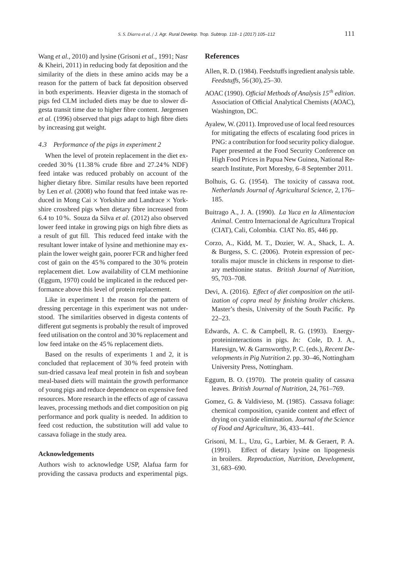Wang *et al.*, 2010) and lysine (Grisoni *et al.*, 1991; Nasr & Kheiri, 2011) in reducing body fat deposition and the similarity of the diets in these amino acids may be a reason for the pattern of back fat deposition observed in both experiments. Heavier digesta in the stomach of pigs fed CLM included diets may be due to slower digesta transit time due to higher fibre content. Jørgensen *et al.* (1996) observed that pigs adapt to high fibre diets by increasing gut weight.

# *4.3 Performance of the pigs in experiment 2*

When the level of protein replacement in the diet exceeded 30 % (11.38% crude fibre and 27.24% NDF) feed intake was reduced probably on account of the higher dietary fibre. Similar results have been reported by Len *et al.* (2008) who found that feed intake was reduced in Mong Cai  $\times$  Yorkshire and Landrace  $\times$  Yorkshire crossbred pigs when dietary fibre increased from 6.4 to 10 %. Souza da Silva *et al.* (2012) also observed lower feed intake in growing pigs on high fibre diets as a result of gut fill. This reduced feed intake with the resultant lower intake of lysine and methionine may explain the lower weight gain, poorer FCR and higher feed cost of gain on the 45 % compared to the 30 % protein replacement diet. Low availability of CLM methionine (Eggum, 1970) could be implicated in the reduced performance above this level of protein replacement.

Like in experiment 1 the reason for the pattern of dressing percentage in this experiment was not understood. The similarities observed in digesta contents of different gut segments is probably the result of improved feed utilisation on the control and 30 % replacement and low feed intake on the 45 % replacement diets.

Based on the results of experiments 1 and 2, it is concluded that replacement of 30 % feed protein with sun-dried cassava leaf meal protein in fish and soybean meal-based diets will maintain the growth performance of young pigs and reduce dependence on expensive feed resources. More research in the effects of age of cassava leaves, processing methods and diet composition on pig performance and pork quality is needed. In addition to feed cost reduction, the substitution will add value to cassava foliage in the study area.

#### **Acknowledgements**

Authors wish to acknowledge USP, Alafua farm for providing the cassava products and experimental pigs.

# **References**

- Allen, R. D. (1984). Feedstuffs ingredient analysis table. *Feedstu*ff*s*, 56 (30), 25–30.
- AOAC (1990). *O*ffi*cial Methods of Analysis 15th edition*. Association of Official Analytical Chemists (AOAC), Washington, DC.
- Ayalew, W. (2011). Improved use of local feed resources for mitigating the effects of escalating food prices in PNG: a contribution for food security policy dialogue. Paper presented at the Food Security Conference on High Food Prices in Papua New Guinea, National Research Institute, Port Moresby, 6–8 September 2011.
- Bolhuis, G. G. (1954). The toxicity of cassava root. *Netherlands Journal of Agricultural Science*, 2, 176– 185.
- Buitrago A., J. A. (1990). *La Yuca en la Alimentacion Animal*. Centro Internacional de Agricultura Tropical (CIAT), Cali, Colombia. CIAT No. 85, 446 pp.
- Corzo, A., Kidd, M. T., Dozier, W. A., Shack, L. A. & Burgess, S. C. (2006). Protein expression of pectoralis major muscle in chickens in response to dietary methionine status. *British Journal of Nutrition*, 95, 703–708.
- Devi, A. (2016). *E*ff*ect of diet composition on the utilization of copra meal by finishing broiler chickens*. Master's thesis, University of the South Pacific. Pp 22–23.
- Edwards, A. C. & Campbell, R. G. (1993). Energyproteininteractions in pigs. *In:* Cole, D. J. A., Haresign, W. & Garnsworthy, P. C. (eds.), *Recent Developments in Pig Nutrition 2*. pp. 30–46, Nottingham University Press, Nottingham.
- Eggum, B. O. (1970). The protein quality of cassava leaves. *British Journal of Nutrition*, 24, 761–769.
- Gomez, G. & Valdivieso, M. (1985). Cassava foliage: chemical composition, cyanide content and effect of drying on cyanide elimination. *Journal of the Science of Food and Agriculture*, 36, 433–441.
- Grisoni, M. L., Uzu, G., Larbier, M. & Geraert, P. A. (1991). Effect of dietary lysine on lipogenesis in broilers. *Reproduction, Nutrition, Development*, 31, 683–690.